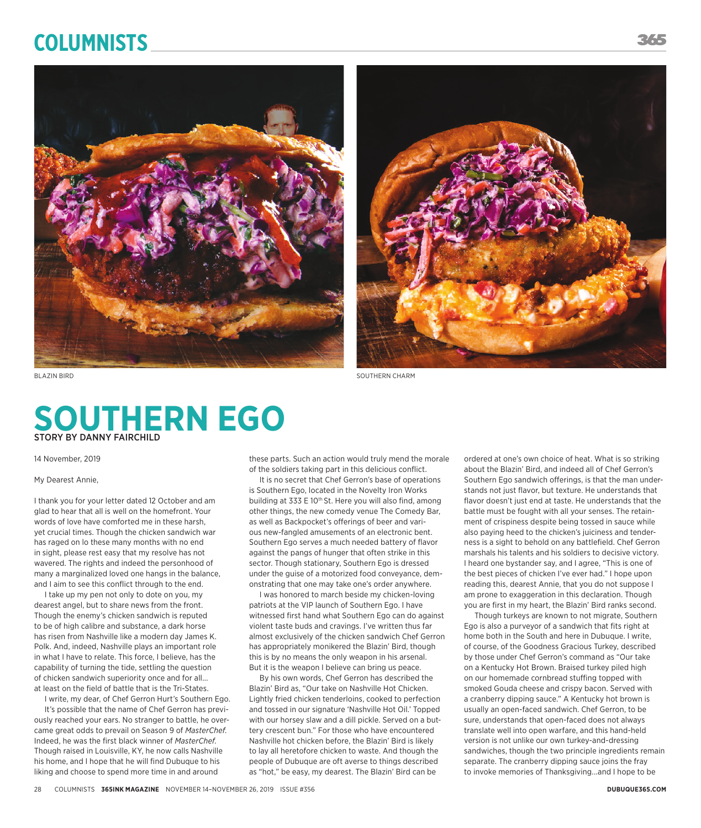# **Columnists**





**SOUTHERN EGO** STORY BY DANNY FAIRCHILD

14 November, 2019

#### My Dearest Annie,

I thank you for your letter dated 12 October and am glad to hear that all is well on the homefront. Your words of love have comforted me in these harsh, yet crucial times. Though the chicken sandwich war has raged on lo these many months with no end in sight, please rest easy that my resolve has not wavered. The rights and indeed the personhood of many a marginalized loved one hangs in the balance, and I aim to see this conflict through to the end.

I take up my pen not only to dote on you, my dearest angel, but to share news from the front. Though the enemy's chicken sandwich is reputed to be of high calibre and substance, a dark horse has risen from Nashville like a modern day James K. Polk. And, indeed, Nashville plays an important role in what I have to relate. This force, I believe, has the capability of turning the tide, settling the question of chicken sandwich superiority once and for all... at least on the field of battle that is the Tri-States.

I write, my dear, of Chef Gerron Hurt's Southern Ego. It's possible that the name of Chef Gerron has previously reached your ears. No stranger to battle, he overcame great odds to prevail on Season 9 of *MasterChef*. Indeed, he was the first black winner of *MasterChef*. Though raised in Louisville, KY, he now calls Nashville his home, and I hope that he will find Dubuque to his liking and choose to spend more time in and around

these parts. Such an action would truly mend the morale of the soldiers taking part in this delicious conflict.

It is no secret that Chef Gerron's base of operations is Southern Ego, located in the Novelty Iron Works building at 333 E 10<sup>th</sup> St. Here you will also find, among other things, the new comedy venue The Comedy Bar, as well as Backpocket's offerings of beer and various new-fangled amusements of an electronic bent. Southern Ego serves a much needed battery of flavor against the pangs of hunger that often strike in this sector. Though stationary, Southern Ego is dressed under the guise of a motorized food conveyance, demonstrating that one may take one's order anywhere.

I was honored to march beside my chicken-loving patriots at the VIP launch of Southern Ego. I have witnessed first hand what Southern Ego can do against violent taste buds and cravings. I've written thus far almost exclusively of the chicken sandwich Chef Gerron has appropriately monikered the Blazin' Bird, though this is by no means the only weapon in his arsenal. But it is the weapon I believe can bring us peace.

By his own words, Chef Gerron has described the Blazin' Bird as, "Our take on Nashville Hot Chicken. Lightly fried chicken tenderloins, cooked to perfection and tossed in our signature 'Nashville Hot Oil.' Topped with our horsey slaw and a dill pickle. Served on a buttery crescent bun." For those who have encountered Nashville hot chicken before, the Blazin' Bird is likely to lay all heretofore chicken to waste. And though the people of Dubuque are oft averse to things described as "hot," be easy, my dearest. The Blazin' Bird can be

ordered at one's own choice of heat. What is so striking about the Blazin' Bird, and indeed all of Chef Gerron's Southern Ego sandwich offerings, is that the man understands not just flavor, but texture. He understands that flavor doesn't just end at taste. He understands that the battle must be fought with all your senses. The retainment of crispiness despite being tossed in sauce while also paying heed to the chicken's juiciness and tenderness is a sight to behold on any battlefield. Chef Gerron marshals his talents and his soldiers to decisive victory. I heard one bystander say, and I agree, "This is one of the best pieces of chicken I've ever had." I hope upon reading this, dearest Annie, that you do not suppose I am prone to exaggeration in this declaration. Though you are first in my heart, the Blazin' Bird ranks second.

Though turkeys are known to not migrate, Southern Ego is also a purveyor of a sandwich that fits right at home both in the South and here in Dubuque. I write, of course, of the Goodness Gracious Turkey, described by those under Chef Gerron's command as "Our take on a Kentucky Hot Brown. Braised turkey piled high on our homemade cornbread stuffing topped with smoked Gouda cheese and crispy bacon. Served with a cranberry dipping sauce." A Kentucky hot brown is usually an open-faced sandwich. Chef Gerron, to be sure, understands that open-faced does not always translate well into open warfare, and this hand-held version is not unlike our own turkey-and-dressing sandwiches, though the two principle ingredients remain separate. The cranberry dipping sauce joins the fray to invoke memories of Thanksgiving...and I hope to be